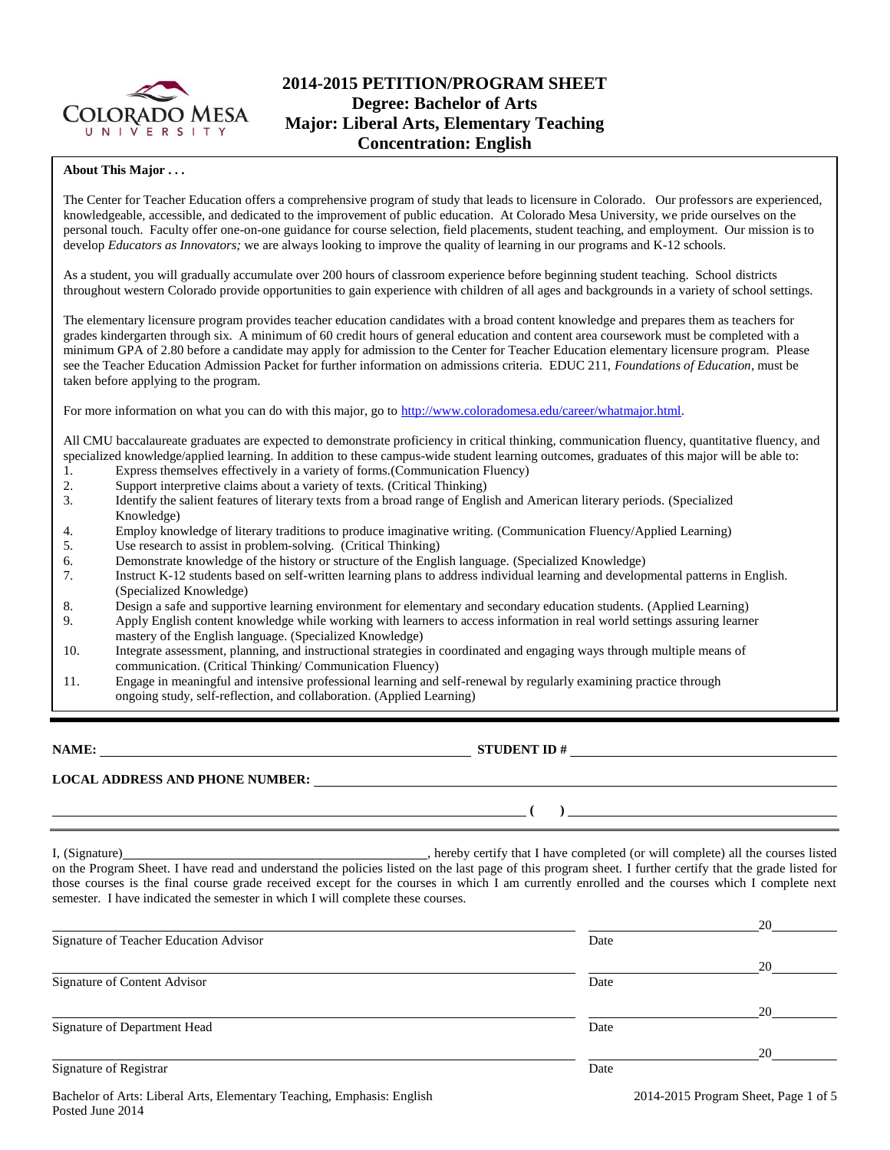

## **2014-2015 PETITION/PROGRAM SHEET Degree: Bachelor of Arts Major: Liberal Arts, Elementary Teaching Concentration: English**

#### **About This Major . . .**

The Center for Teacher Education offers a comprehensive program of study that leads to licensure in Colorado. Our professors are experienced, knowledgeable, accessible, and dedicated to the improvement of public education. At Colorado Mesa University, we pride ourselves on the personal touch. Faculty offer one-on-one guidance for course selection, field placements, student teaching, and employment. Our mission is to develop *Educators as Innovators;* we are always looking to improve the quality of learning in our programs and K-12 schools.

As a student, you will gradually accumulate over 200 hours of classroom experience before beginning student teaching. School districts throughout western Colorado provide opportunities to gain experience with children of all ages and backgrounds in a variety of school settings.

The elementary licensure program provides teacher education candidates with a broad content knowledge and prepares them as teachers for grades kindergarten through six. A minimum of 60 credit hours of general education and content area coursework must be completed with a minimum GPA of 2.80 before a candidate may apply for admission to the Center for Teacher Education elementary licensure program. Please see the Teacher Education Admission Packet for further information on admissions criteria. EDUC 211, *Foundations of Education*, must be taken before applying to the program.

For more information on what you can do with this major, go to [http://www.coloradomesa.edu/career/whatmajor.html.](http://www.coloradomesa.edu/career/whatmajor.html)

All CMU baccalaureate graduates are expected to demonstrate proficiency in critical thinking, communication fluency, quantitative fluency, and specialized knowledge/applied learning. In addition to these campus-wide student learning outcomes, graduates of this major will be able to:

- 1. Express themselves effectively in a variety of forms.(Communication Fluency)
- 2. Support interpretive claims about a variety of texts. (Critical Thinking)
- 3. Identify the salient features of literary texts from a broad range of English and American literary periods. (Specialized Knowledge)
- 4. Employ knowledge of literary traditions to produce imaginative writing. (Communication Fluency/Applied Learning)
- 5. Use research to assist in problem-solving. (Critical Thinking)
- 6. Demonstrate knowledge of the history or structure of the English language. (Specialized Knowledge)
- 7. Instruct K-12 students based on self-written learning plans to address individual learning and developmental patterns in English. (Specialized Knowledge)
- 8. Design a safe and supportive learning environment for elementary and secondary education students. (Applied Learning)
- 9. Apply English content knowledge while working with learners to access information in real world settings assuring learner mastery of the English language. (Specialized Knowledge)
- 10. Integrate assessment, planning, and instructional strategies in coordinated and engaging ways through multiple means of communication. (Critical Thinking/ Communication Fluency)
- 11. Engage in meaningful and intensive professional learning and self-renewal by regularly examining practice through ongoing study, self-reflection, and collaboration. (Applied Learning)

**NAME: STUDENT ID #** 

**LOCAL ADDRESS AND PHONE NUMBER:**

**( )** 

I, (Signature) , hereby certify that I have completed (or will complete) all the courses listed on the Program Sheet. I have read and understand the policies listed on the last page of this program sheet. I further certify that the grade listed for those courses is the final course grade received except for the courses in which I am currently enrolled and the courses which I complete next semester. I have indicated the semester in which I will complete these courses.

|                                        |      | 20 |
|----------------------------------------|------|----|
| Signature of Teacher Education Advisor | Date |    |
|                                        |      | 20 |
| Signature of Content Advisor           | Date |    |
|                                        |      | 20 |
| Signature of Department Head           | Date |    |
|                                        |      | 20 |
| Signature of Registrar                 | Date |    |
|                                        |      |    |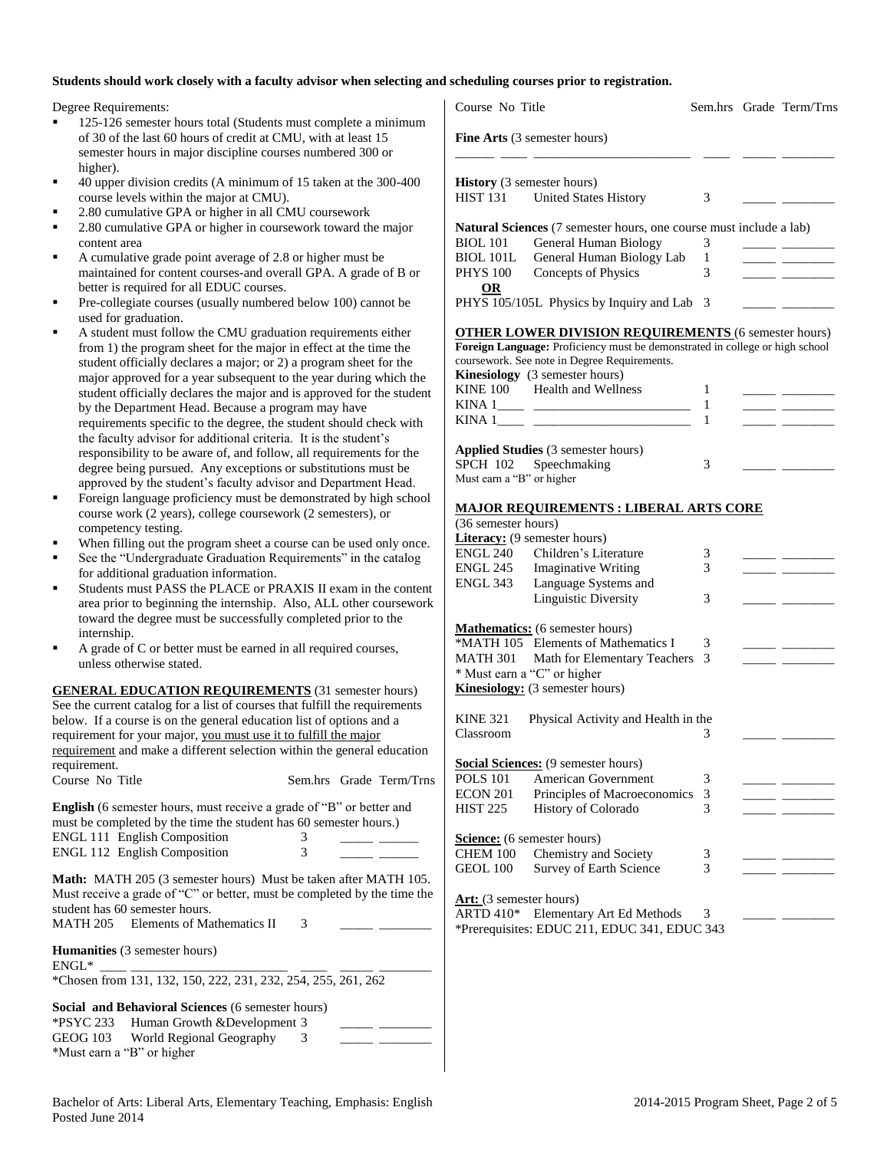#### **Students should work closely with a faculty advisor when selecting and scheduling courses prior to registration.**

Degree Requirements:

- 125-126 semester hours total (Students must complete a minimum of 30 of the last 60 hours of credit at CMU, with at least 15 semester hours in major discipline courses numbered 300 or higher).
- 40 upper division credits (A minimum of 15 taken at the 300-400 course levels within the major at CMU).
- 2.80 cumulative GPA or higher in all CMU coursework
- 2.80 cumulative GPA or higher in coursework toward the major content area
- A cumulative grade point average of 2.8 or higher must be maintained for content courses-and overall GPA. A grade of B or better is required for all EDUC courses.
- Pre-collegiate courses (usually numbered below 100) cannot be used for graduation.
- A student must follow the CMU graduation requirements either from 1) the program sheet for the major in effect at the time the student officially declares a major; or 2) a program sheet for the major approved for a year subsequent to the year during which the student officially declares the major and is approved for the student by the Department Head. Because a program may have requirements specific to the degree, the student should check with the faculty advisor for additional criteria. It is the student's responsibility to be aware of, and follow, all requirements for the degree being pursued. Any exceptions or substitutions must be approved by the student's faculty advisor and Department Head.
- Foreign language proficiency must be demonstrated by high school course work (2 years), college coursework (2 semesters), or competency testing.
- When filling out the program sheet a course can be used only once.
- See the "Undergraduate Graduation Requirements" in the catalog for additional graduation information.
- Students must PASS the PLACE or PRAXIS II exam in the content area prior to beginning the internship. Also, ALL other coursework toward the degree must be successfully completed prior to the internship.
- A grade of C or better must be earned in all required courses, unless otherwise stated.

**GENERAL EDUCATION REQUIREMENTS** (31 semester hours) See the current catalog for a list of courses that fulfill the requirements below. If a course is on the general education list of options and a requirement for your major, you must use it to fulfill the major requirement and make a different selection within the general education requirement.

| Course No Title                                                             |   | Sem.hrs Grade Term/Trns |
|-----------------------------------------------------------------------------|---|-------------------------|
| <b>English</b> (6 semester hours, must receive a grade of "B" or better and |   |                         |
| must be completed by the time the student has 60 semester hours.)           |   |                         |
| ENGL 111 English Composition                                                |   |                         |
| <b>ENGL 112 English Composition</b>                                         | 3 |                         |

**Math:** MATH 205 (3 semester hours) Must be taken after MATH 105. Must receive a grade of "C" or better, must be completed by the time the student has 60 semester hours. MATH 205 Elements of Mathematics II  $\qquad$  3

| <b>Humanities</b> (3 semester hours)                          |  |  |  |  |  |  |  |
|---------------------------------------------------------------|--|--|--|--|--|--|--|
| $ENGL^*$                                                      |  |  |  |  |  |  |  |
| *Chosen from 131, 132, 150, 222, 231, 232, 254, 255, 261, 262 |  |  |  |  |  |  |  |

**Social and Behavioral Sciences** (6 semester hours) \*PSYC 233 Human Growth &Development 3 \_\_\_\_\_ \_\_\_\_\_\_\_\_ GEOG 103 World Regional Geography 3 \*Must earn a "B" or higher

| Course No Title                   |                                                                                                                                             | Sem.hrs Grade Term/Trns |  |
|-----------------------------------|---------------------------------------------------------------------------------------------------------------------------------------------|-------------------------|--|
|                                   | Fine Arts (3 semester hours)                                                                                                                |                         |  |
|                                   |                                                                                                                                             |                         |  |
| <b>History</b> (3 semester hours) | HIST 131 United States History                                                                                                              | 3                       |  |
|                                   | <b>Natural Sciences</b> (7 semester hours, one course must include a lab)                                                                   |                         |  |
| <b>BIOL 101</b>                   | General Human Biology                                                                                                                       | 3                       |  |
| BIOL 101L                         | General Human Biology Lab                                                                                                                   | 1                       |  |
| PHYS 100                          | Concepts of Physics                                                                                                                         | 3                       |  |
| <b>OR</b>                         | PHYS 105/105L Physics by Inquiry and Lab                                                                                                    | 3                       |  |
|                                   |                                                                                                                                             |                         |  |
|                                   | <b>OTHER LOWER DIVISION REQUIREMENTS</b> (6 semester hours)<br>Foreign Language: Proficiency must be demonstrated in college or high school |                         |  |
|                                   | coursework. See note in Degree Requirements.                                                                                                |                         |  |
|                                   | Kinesiology (3 semester hours)                                                                                                              |                         |  |
|                                   | KINE 100 Health and Wellness                                                                                                                | 1                       |  |
|                                   |                                                                                                                                             | 1                       |  |
|                                   |                                                                                                                                             | 1                       |  |
|                                   | Applied Studies (3 semester hours)                                                                                                          |                         |  |
|                                   | SPCH 102 Speechmaking                                                                                                                       | 3                       |  |
| Must earn a "B" or higher         |                                                                                                                                             |                         |  |
|                                   | <u> MAJOR REQUIREMENTS : LIBERAL ARTS CORE</u>                                                                                              |                         |  |
| (36 semester hours)               |                                                                                                                                             |                         |  |
|                                   | <b>Literacy:</b> (9 semester hours)                                                                                                         |                         |  |
| ENGL 240                          | Children's Literature                                                                                                                       | 3                       |  |
| <b>ENGL 245</b>                   | <b>Imaginative Writing</b>                                                                                                                  | 3                       |  |
| ENGL 343                          | Language Systems and                                                                                                                        |                         |  |
|                                   | <b>Linguistic Diversity</b>                                                                                                                 | 3                       |  |
|                                   | <b>Mathematics:</b> (6 semester hours)                                                                                                      |                         |  |
|                                   | *MATH 105 Elements of Mathematics I                                                                                                         | 3                       |  |
| <b>MATH 301</b>                   | Math for Elementary Teachers                                                                                                                | 3                       |  |
|                                   | * Must earn a "C" or higher                                                                                                                 |                         |  |
|                                   | <b>Kinesiology:</b> (3 semester hours)                                                                                                      |                         |  |
| <b>KINE 321</b>                   | Physical Activity and Health in the                                                                                                         |                         |  |
| Classroom                         |                                                                                                                                             | 3                       |  |
|                                   | Social Sciences: (9 semester hours)                                                                                                         |                         |  |
| <b>POLS 101</b>                   | American Government                                                                                                                         | 3                       |  |
| <b>ECON 201</b>                   | Principles of Macroeconomics                                                                                                                | 3                       |  |
| <b>HIST 225</b>                   | History of Colorado                                                                                                                         | 3                       |  |
|                                   | Science: (6 semester hours)                                                                                                                 |                         |  |
| <b>CHEM 100</b>                   | Chemistry and Society                                                                                                                       | 3                       |  |
| <b>GEOL 100</b>                   | Survey of Earth Science                                                                                                                     | 3                       |  |
| Art: (3 semester hours)           |                                                                                                                                             |                         |  |
| ARTD 410*                         | Elementary Art Ed Methods                                                                                                                   | 3                       |  |
|                                   | *Prerequisites: EDUC 211, EDUC 341, EDUC 343                                                                                                |                         |  |
|                                   |                                                                                                                                             |                         |  |
|                                   |                                                                                                                                             |                         |  |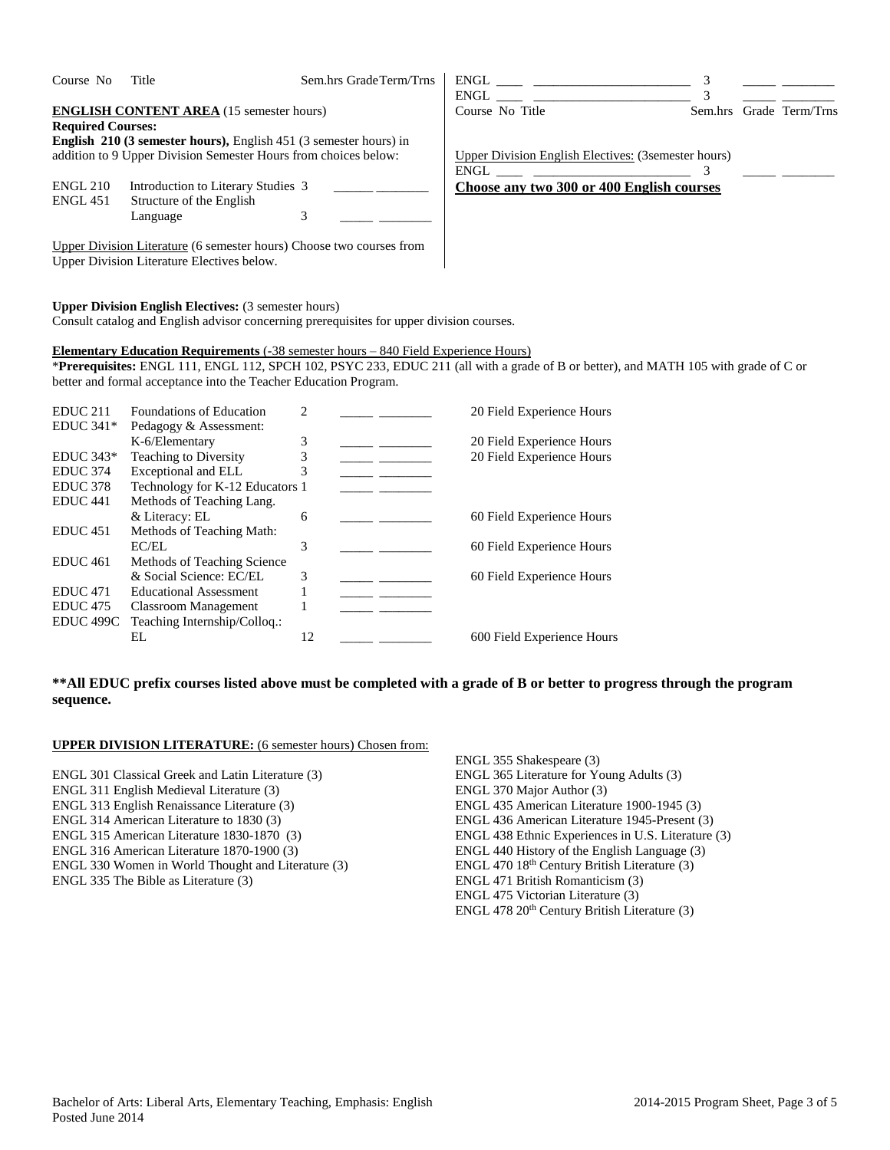| Course No                | Title                                                                                                                                                                             | Sem.hrs GradeTerm/Trns | $ENGL \begin{tabular}{ll} \multicolumn{3}{c}{{\small\textrm{\textbf{C}}} \end{tabular} \begin{tabular}{ll} \multicolumn{3}{c}{{\small\textrm{\textbf{C}}} \end{tabular} \begin{tabular}{ll} \multicolumn{3}{c}{{\small\textrm{\textbf{C}}} \end{tabular} \begin{tabular}{ll} \multicolumn{3}{c}{{\small\textrm{\textbf{C}}} \end{tabular} \begin{tabular}{ll} \multicolumn{3}{c}{{\small\textrm{\textbf{C}}} \end{tabular} \begin{tabular}{ll} \multicolumn{3}{c}{{\small\textrm{\textbf{C}}} \end{tabular} \begin{tabular}{ll}$ | 3 |                         |
|--------------------------|-----------------------------------------------------------------------------------------------------------------------------------------------------------------------------------|------------------------|----------------------------------------------------------------------------------------------------------------------------------------------------------------------------------------------------------------------------------------------------------------------------------------------------------------------------------------------------------------------------------------------------------------------------------------------------------------------------------------------------------------------------------|---|-------------------------|
|                          |                                                                                                                                                                                   |                        | ENGL                                                                                                                                                                                                                                                                                                                                                                                                                                                                                                                             | 3 |                         |
|                          | <b>ENGLISH CONTENT AREA</b> (15 semester hours)                                                                                                                                   |                        | Course No Title                                                                                                                                                                                                                                                                                                                                                                                                                                                                                                                  |   | Sem.hrs Grade Term/Trns |
| <b>Required Courses:</b> |                                                                                                                                                                                   |                        |                                                                                                                                                                                                                                                                                                                                                                                                                                                                                                                                  |   |                         |
|                          | English 210 (3 semester hours), English 451 (3 semester hours) in                                                                                                                 |                        |                                                                                                                                                                                                                                                                                                                                                                                                                                                                                                                                  |   |                         |
|                          | addition to 9 Upper Division Semester Hours from choices below:                                                                                                                   |                        | <b>Upper Division English Electives: (3semester hours)</b>                                                                                                                                                                                                                                                                                                                                                                                                                                                                       |   |                         |
|                          |                                                                                                                                                                                   |                        | ENGL                                                                                                                                                                                                                                                                                                                                                                                                                                                                                                                             | 3 |                         |
| <b>ENGL 210</b>          | Introduction to Literary Studies 3                                                                                                                                                |                        | Choose any two 300 or 400 English courses                                                                                                                                                                                                                                                                                                                                                                                                                                                                                        |   |                         |
| <b>ENGL 451</b>          | Structure of the English                                                                                                                                                          |                        |                                                                                                                                                                                                                                                                                                                                                                                                                                                                                                                                  |   |                         |
|                          | Language                                                                                                                                                                          | 3                      |                                                                                                                                                                                                                                                                                                                                                                                                                                                                                                                                  |   |                         |
|                          |                                                                                                                                                                                   |                        |                                                                                                                                                                                                                                                                                                                                                                                                                                                                                                                                  |   |                         |
|                          | Upper Division Literature (6 semester hours) Choose two courses from<br>Upper Division Literature Electives below.<br><b>Upper Division English Electives:</b> (3 semester hours) |                        |                                                                                                                                                                                                                                                                                                                                                                                                                                                                                                                                  |   |                         |
|                          | Consult catalog and English advisor concerning prerequisites for upper division courses.                                                                                          |                        |                                                                                                                                                                                                                                                                                                                                                                                                                                                                                                                                  |   |                         |
|                          | <b>Elementary Education Requirements</b> (-38 semester hours – 840 Field Experience Hours)<br>better and formal acceptance into the Teacher Education Program.                    |                        | *Prerequisites: ENGL 111, ENGL 112, SPCH 102, PSYC 233, EDUC 211 (all with a grade of B or better), and MATH 105 with grade of C or                                                                                                                                                                                                                                                                                                                                                                                              |   |                         |
| <b>EDUC 211</b>          | Foundations of Education                                                                                                                                                          | 2                      | 20 Field Experience Hours                                                                                                                                                                                                                                                                                                                                                                                                                                                                                                        |   |                         |
| EDUC $341*$              | Pedagogy & Assessment:                                                                                                                                                            |                        |                                                                                                                                                                                                                                                                                                                                                                                                                                                                                                                                  |   |                         |
|                          | K-6/Elementary                                                                                                                                                                    |                        | 20 Field Experience Hours                                                                                                                                                                                                                                                                                                                                                                                                                                                                                                        |   |                         |
| $EDUC 343*$              | Teaching to Diversity                                                                                                                                                             | 3<br>3                 | 20 Field Experience Hours                                                                                                                                                                                                                                                                                                                                                                                                                                                                                                        |   |                         |
|                          |                                                                                                                                                                                   |                        |                                                                                                                                                                                                                                                                                                                                                                                                                                                                                                                                  |   |                         |
| EDUC 374                 | Exceptional and ELL                                                                                                                                                               | 3                      |                                                                                                                                                                                                                                                                                                                                                                                                                                                                                                                                  |   |                         |
| <b>EDUC 378</b>          | Technology for K-12 Educators 1                                                                                                                                                   |                        |                                                                                                                                                                                                                                                                                                                                                                                                                                                                                                                                  |   |                         |

## **\*\*All EDUC prefix courses listed above must be completed with a grade of B or better to progress through the program sequence.**

 $\frac{3}{1}$  \_\_\_\_\_\_\_\_\_\_\_\_\_\_\_\_\_\_\_\_\_\_\_\_\_\_\_ 60 Field Experience Hours

& Literacy: EL 6 \_\_\_\_\_ \_\_\_\_\_\_ 60 Field Experience Hours

EC/EL 3 \_\_\_\_\_ \_\_\_\_\_ 60 Field Experience Hours

EL 12 \_\_\_\_\_ \_\_\_\_\_ 600 Field Experience Hours

### **UPPER DIVISION LITERATURE:** (6 semester hours) Chosen from:

EDUC 475 Classroom Management 1 \_\_\_\_\_\_ \_\_\_\_\_<br>EDUC 499C Teaching Internship/Colloq.: Teaching Internship/Colloq.:

- ENGL 301 Classical Greek and Latin Literature (3)
- ENGL 311 English Medieval Literature (3)

EDUC 441 Methods of Teaching Lang.

EDUC 451 Methods of Teaching Math:

EDUC 461 Methods of Teaching Science<br>& Social Science: EC/EL

EDUC 471  $\blacksquare$  Educational Assessment 1

- ENGL 313 English Renaissance Literature (3)
- ENGL 314 American Literature to 1830 (3)
- ENGL 315 American Literature 1830-1870 (3)
- ENGL 316 American Literature 1870-1900 (3)
- ENGL 330 Women in World Thought and Literature (3)
- ENGL 335 The Bible as Literature (3)

ENGL 355 Shakespeare (3) ENGL 365 Literature for Young Adults (3) ENGL 370 Major Author (3) ENGL 435 American Literature 1900-1945 (3) ENGL 436 American Literature 1945-Present (3) ENGL 438 Ethnic Experiences in U.S. Literature (3) ENGL 440 History of the English Language (3) ENGL 470 18th Century British Literature (3) ENGL 471 British Romanticism (3) ENGL 475 Victorian Literature (3) ENGL 478 20th Century British Literature (3)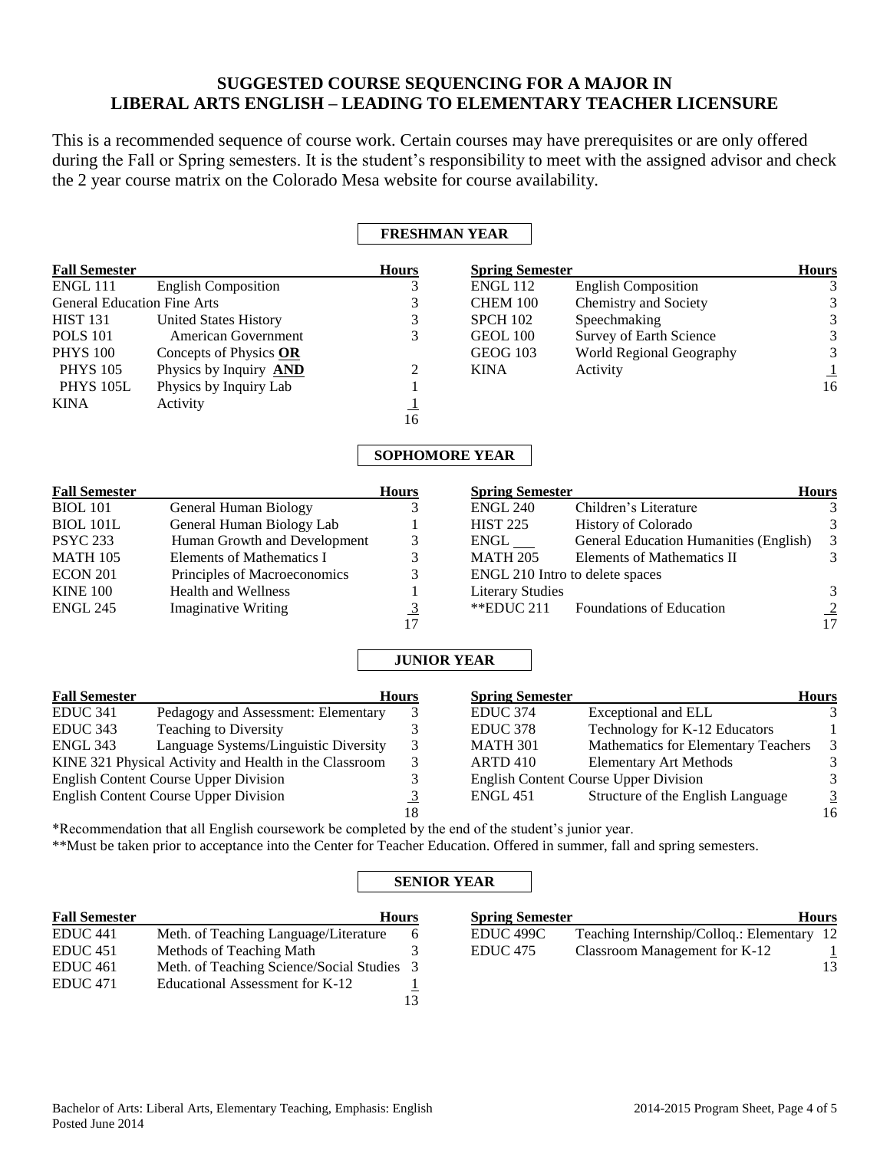# **SUGGESTED COURSE SEQUENCING FOR A MAJOR IN LIBERAL ARTS ENGLISH – LEADING TO ELEMENTARY TEACHER LICENSURE**

This is a recommended sequence of course work. Certain courses may have prerequisites or are only offered during the Fall or Spring semesters. It is the student's responsibility to meet with the assigned advisor and check the 2 year course matrix on the Colorado Mesa website for course availability.

## **FRESHMAN YEAR**

| <b>Fall Semester</b>               |                                                                                                                          | <b>Hours</b>   | <b>Spring Semester</b>  |                                               | <b>Hours</b>   |
|------------------------------------|--------------------------------------------------------------------------------------------------------------------------|----------------|-------------------------|-----------------------------------------------|----------------|
| <b>ENGL 111</b>                    | <b>English Composition</b>                                                                                               | 3              | $ENGL$ 112              | <b>English Composition</b>                    |                |
| <b>General Education Fine Arts</b> |                                                                                                                          | 3              | CHEM 100                | Chemistry and Society                         |                |
| <b>HIST 131</b>                    | <b>United States History</b>                                                                                             | 3              | <b>SPCH 102</b>         | Speechmaking                                  |                |
| <b>POLS 101</b>                    | <b>American Government</b>                                                                                               | 3              | <b>GEOL 100</b>         | Survey of Earth Science                       |                |
| <b>PHYS 100</b>                    | Concepts of Physics OR                                                                                                   |                | <b>GEOG 103</b>         | World Regional Geography                      |                |
| <b>PHYS 105</b>                    | Physics by Inquiry <b>AND</b>                                                                                            |                | <b>KINA</b>             | Activity                                      |                |
| <b>PHYS 105L</b>                   | Physics by Inquiry Lab                                                                                                   |                |                         |                                               | 16             |
| <b>KINA</b>                        | Activity                                                                                                                 |                |                         |                                               |                |
|                                    |                                                                                                                          | 16             |                         |                                               |                |
|                                    |                                                                                                                          |                | <b>SOPHOMORE YEAR</b>   |                                               |                |
| <b>Fall Semester</b>               |                                                                                                                          | <b>Hours</b>   | <b>Spring Semester</b>  |                                               | <b>Hours</b>   |
| <b>BIOL 101</b>                    | <b>General Human Biology</b>                                                                                             |                | <b>ENGL 240</b>         | Children's Literature                         |                |
| <b>BIOL 101L</b>                   | General Human Biology Lab                                                                                                |                | <b>HIST 225</b>         | History of Colorado                           |                |
| <b>PSYC 233</b>                    | Human Growth and Development                                                                                             | 3              | $ENGL$ <sub>___</sub>   | <b>General Education Humanities (English)</b> | 3              |
| <b>MATH 105</b>                    | <b>Elements of Mathematics I</b>                                                                                         | 3              | <b>MATH 205</b>         | <b>Elements of Mathematics II</b>             | 3              |
| <b>ECON 201</b>                    | Principles of Macroeconomics                                                                                             | 3              |                         | ENGL 210 Intro to delete spaces               |                |
| <b>KINE 100</b>                    | <b>Health and Wellness</b>                                                                                               |                | <b>Literary Studies</b> |                                               | 3              |
| <b>ENGL 245</b>                    | <b>Imaginative Writing</b>                                                                                               | $rac{3}{17}$   | **EDUC 211              | Foundations of Education                      | $\frac{2}{17}$ |
|                                    |                                                                                                                          |                |                         |                                               |                |
|                                    |                                                                                                                          |                | <b>JUNIOR YEAR</b>      |                                               |                |
| <b>Fall Semester</b>               |                                                                                                                          | <b>Hours</b>   | <b>Spring Semester</b>  |                                               | <b>Hours</b>   |
| <b>EDUC 341</b>                    | Pedagogy and Assessment: Elementary                                                                                      | 3              | <b>EDUC 374</b>         | Exceptional and ELL                           |                |
| <b>EDUC 343</b>                    | <b>Teaching to Diversity</b>                                                                                             | 3              | EDUC <sub>378</sub>     | Technology for K-12 Educators                 |                |
| <b>ENGL 343</b>                    | Language Systems/Linguistic Diversity                                                                                    | 3              | <b>MATH 301</b>         | Mathematics for Elementary Teachers           |                |
|                                    | KINE 321 Physical Activity and Health in the Classroom                                                                   | 3              | <b>ARTD 410</b>         | <b>Elementary Art Methods</b>                 |                |
|                                    | <b>English Content Course Upper Division</b>                                                                             | 3              |                         | <b>English Content Course Upper Division</b>  |                |
|                                    | <b>English Content Course Upper Division</b>                                                                             | $\overline{3}$ | <b>ENGL 451</b>         | Structure of the English Language             | $\overline{3}$ |
|                                    |                                                                                                                          | 18             |                         |                                               | 16             |
|                                    | *Recommendation that all English coursework be completed by the end of the student's junior year.                        |                |                         |                                               |                |
|                                    | **Must be taken prior to acceptance into the Center for Teacher Education. Offered in summer, fall and spring semesters. |                |                         |                                               |                |
|                                    |                                                                                                                          |                |                         |                                               |                |

## **SENIOR YEAR**

| <b>Fall Semester</b> | <b>Hours</b>                               | <b>Spring Semester</b> |                                            | <b>Hours</b> |
|----------------------|--------------------------------------------|------------------------|--------------------------------------------|--------------|
| EDUC <sub>441</sub>  | Meth. of Teaching Language/Literature      | EDUC 499C              | Teaching Internship/Colloq.: Elementary 12 |              |
| EDUC <sub>451</sub>  | Methods of Teaching Math                   | EDUC <sub>475</sub>    | Classroom Management for K-12              |              |
| EDUC <sub>461</sub>  | Meth. of Teaching Science/Social Studies 3 |                        |                                            | 13           |
| EDUC <sub>471</sub>  | Educational Assessment for K-12            |                        |                                            |              |
|                      |                                            |                        |                                            |              |